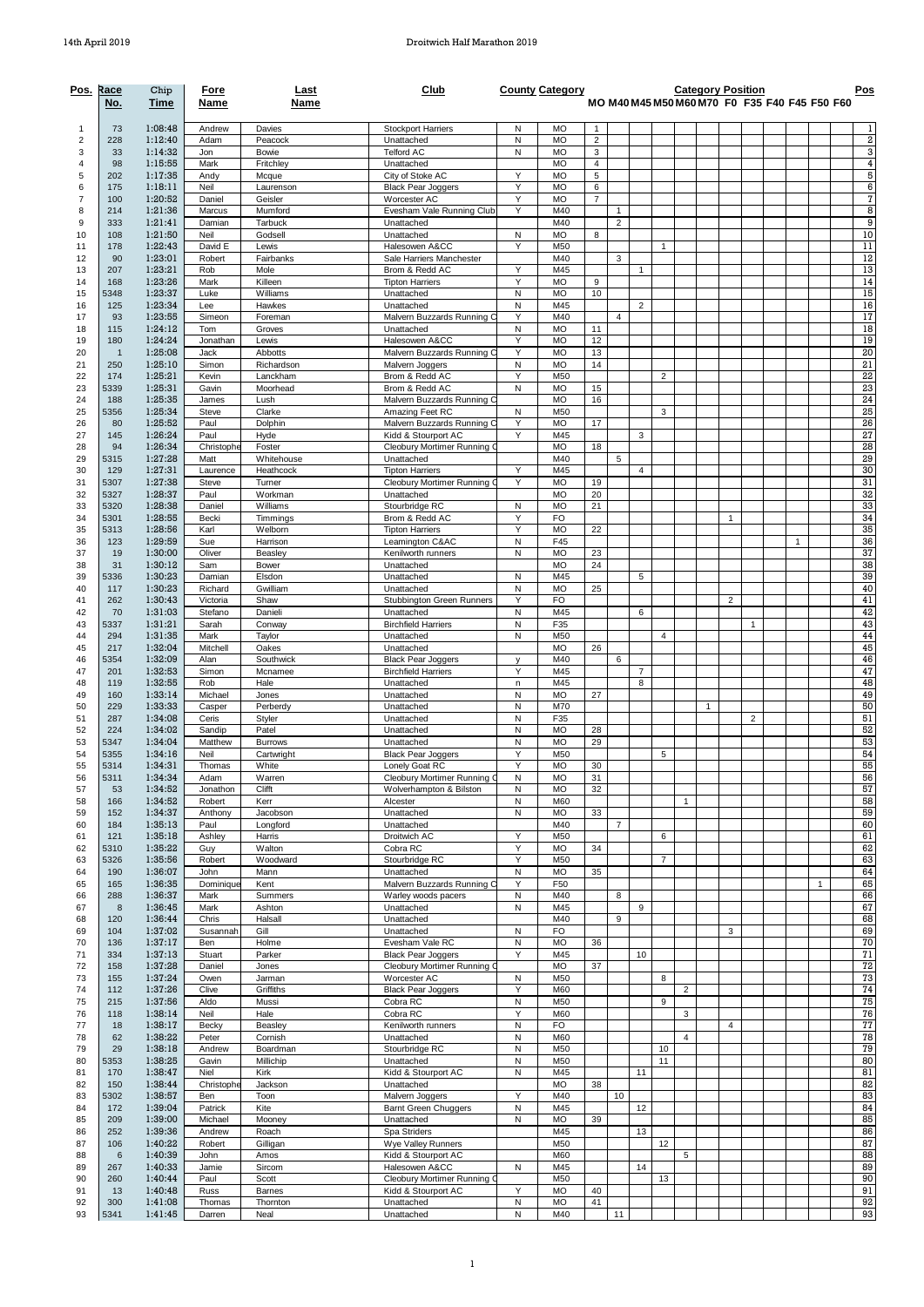| <u>Pos.</u>         | Race<br>No.    | Chip<br>Time       | Fore<br>Name         | Last<br>Name              | Club                                                     |                | <b>County Category</b> |                                             |                |                     |                |                |              | <b>Category Position</b> |   | MO M40 M45 M50 M60 M70 F0 F35 F40 F45 F50 F60 |   | Pos                              |
|---------------------|----------------|--------------------|----------------------|---------------------------|----------------------------------------------------------|----------------|------------------------|---------------------------------------------|----------------|---------------------|----------------|----------------|--------------|--------------------------|---|-----------------------------------------------|---|----------------------------------|
| -1                  | 73             | 1:08:48            | Andrew               | Davies                    | <b>Stockport Harriers</b>                                | N              | MO                     | -1                                          |                |                     |                |                |              |                          |   |                                               |   | 1                                |
| $\overline{2}$      | 228            | 1:12:40            | Adam                 | Peacock                   | Unattached                                               | Ν<br>N         | <b>MO</b>              | $\sqrt{2}$                                  |                |                     |                |                |              |                          |   |                                               |   | 2<br>3                           |
| 3<br>4              | 33<br>98       | 1:14:32<br>1:15:55 | Jon<br>Mark          | Bowie<br>Fritchlev        | <b>Telford AC</b><br>Unattached                          |                | <b>MO</b><br><b>MO</b> | $\ensuremath{\mathsf{3}}$<br>$\overline{4}$ |                |                     |                |                |              |                          |   |                                               |   | $\pmb{4}$                        |
| 5                   | 202            | 1:17:35            | Andy                 | Mcque                     | City of Stoke AC                                         | Υ              | <b>MO</b>              | 5                                           |                |                     |                |                |              |                          |   |                                               |   | 5                                |
| 6<br>$\overline{7}$ | 175<br>100     | 1:18:11<br>1:20:52 | Neil<br>Daniel       | Laurenson                 | <b>Black Pear Joggers</b><br>Worcester AC                | Y<br>Y         | <b>MO</b><br><b>MO</b> | 6<br>$\overline{7}$                         |                |                     |                |                |              |                          |   |                                               |   | $\overline{6}$<br>$\overline{7}$ |
| 8                   | 214            | 1:21:36            | Marcus               | Geisler<br>Mumford        | Evesham Vale Running Club                                | Y              | M40                    |                                             | $\mathbf{1}$   |                     |                |                |              |                          |   |                                               |   | 8                                |
| 9                   | 333            | 1:21:41            | Damian               | Tarbuck                   | Unattached                                               |                | M40                    |                                             | $\overline{2}$ |                     |                |                |              |                          |   |                                               |   | 9                                |
| 10<br>11            | 108<br>178     | 1:21:50<br>1:22:43 | Neil<br>David E      | Godsell                   | Unattached<br>Halesowen A&CC                             | N<br>Y         | <b>MO</b><br>M50       | 8                                           |                |                     | $\mathbf{1}$   |                |              |                          |   |                                               |   | 10<br>11                         |
| 12                  | 90             | 1:23:01            | Robert               | Lewis<br>Fairbanks        | Sale Harriers Manchester                                 |                | M40                    |                                             | 3              |                     |                |                |              |                          |   |                                               |   | 12                               |
| 13                  | 207            | 1:23:21            | Rob                  | Mole                      | Brom & Redd AC                                           | Y              | M45                    |                                             |                |                     |                |                |              |                          |   |                                               |   | 13                               |
| 14                  | 168<br>5348    | 1:23:26<br>1:23:37 | Mark<br>Luke         | Killeen<br>Williams       | <b>Tipton Harriers</b><br>Unattached                     | Υ<br>N         | <b>MO</b><br><b>MO</b> | 9<br>10                                     |                |                     |                |                |              |                          |   |                                               |   | 14<br>15                         |
| 15<br>16            | 125            | 1:23:34            | Lee                  | Hawkes                    | Unattached                                               | N              | M45                    |                                             |                | $\overline{2}$      |                |                |              |                          |   |                                               |   | 16                               |
| 17                  | 93             | 1:23:55            | Simeon               | Foreman                   | Malvern Buzzards Running C                               | Y              | M40                    |                                             | $\overline{4}$ |                     |                |                |              |                          |   |                                               |   | 17                               |
| 18<br>19            | 115<br>180     | 1:24:12<br>1:24:24 | Tom<br>Jonathan      | Groves<br>Lewis           | Unattached<br>Halesowen A&CC                             | Ν<br>Υ         | <b>MO</b><br><b>MO</b> | 11<br>12                                    |                |                     |                |                |              |                          |   |                                               |   | 18<br>19                         |
| 20                  | $\overline{1}$ | 1:25:08            | Jack                 | Abbotts                   | Malvern Buzzards Running C                               | Υ              | <b>MO</b>              | 13                                          |                |                     |                |                |              |                          |   |                                               |   | 20                               |
| 21                  | 250            | 1:25:10            | Simon                | Richardson                | Malvern Joggers                                          | N              | <b>MO</b>              | 14                                          |                |                     |                |                |              |                          |   |                                               |   | 21                               |
| 22<br>23            | 174<br>5339    | 1:25:21<br>1:25:31 | Kevin<br>Gavin       | Lanckham<br>Moorhead      | Brom & Redd AC<br>Brom & Redd AC                         | Y<br>N         | M50<br><b>MO</b>       | 15                                          |                |                     | $\overline{2}$ |                |              |                          |   |                                               |   | 22<br>23                         |
| 24                  | 188            | 1:25:35            | James                | Lush                      | Malvern Buzzards Running C                               |                | <b>MO</b>              | 16                                          |                |                     |                |                |              |                          |   |                                               |   | 24                               |
| 25                  | 5356           | 1:25:34            | Steve                | Clarke                    | Amazing Feet RC                                          | N              | M50                    |                                             |                |                     | 3              |                |              |                          |   |                                               |   | 25                               |
| 26<br>27            | 80<br>145      | 1:25:52<br>1:26:24 | Paul<br>Paul         | Dolphin<br>Hyde           | Malvern Buzzards Running C<br>Kidd & Stourport AC        | Υ<br>Υ         | <b>MO</b><br>M45       | 17                                          |                | 3                   |                |                |              |                          |   |                                               |   | 26<br>27                         |
| 28                  | 94             | 1:26:34            | Christophe           | Foster                    | Cleobury Mortimer Running C                              |                | <b>MO</b>              | 18                                          |                |                     |                |                |              |                          |   |                                               |   | 28                               |
| 29                  | 5315           | 1:27:28            | Matt                 | Whitehouse                | Unattached                                               |                | M40                    |                                             | 5              |                     |                |                |              |                          |   |                                               |   | 29                               |
| 30                  | 129            | 1:27:31<br>1:27:38 | Laurence             | Heathcock                 | <b>Tipton Harriers</b>                                   | Y<br>Υ         | M45<br><b>MO</b>       |                                             |                | 4                   |                |                |              |                          |   |                                               |   | 30<br>31                         |
| 31<br>32            | 5307<br>5327   | 1:28:37            | <b>Steve</b><br>Paul | Turner<br>Workman         | Cleobury Mortimer Running O<br>Unattached                |                | <b>MO</b>              | 19<br>20                                    |                |                     |                |                |              |                          |   |                                               |   | 32                               |
| 33                  | 5320           | 1:28:38            | Daniel               | Williams                  | Stourbridge RC                                           | N              | <b>MO</b>              | 21                                          |                |                     |                |                |              |                          |   |                                               |   | 33                               |
| 34                  | 5301           | 1:28:55<br>1:28:56 | Becki                | Timminas                  | Brom & Redd AC                                           | Y<br>Υ         | <b>FO</b><br><b>MO</b> | 22                                          |                |                     |                |                |              | 1                        |   |                                               |   | 34<br>35                         |
| 35<br>36            | 5313<br>123    | 1:29:59            | Karl<br>Sue          | Welborn<br>Harrison       | <b>Tipton Harriers</b><br>Leamington C&AC                | N              | F45                    |                                             |                |                     |                |                |              |                          |   | $\mathbf{1}$                                  |   | 36                               |
| 37                  | 19             | 1:30:00            | Oliver               | Beasley                   | Kenilworth runners                                       | N              | <b>MO</b>              | 23                                          |                |                     |                |                |              |                          |   |                                               |   | 37                               |
| 38                  | 31             | 1:30:12            | Sam                  | <b>Bower</b>              | Unattached                                               |                | <b>MO</b>              | 24                                          |                |                     |                |                |              |                          |   |                                               |   | 38                               |
| 39<br>40            | 5336<br>117    | 1:30:23<br>1:30:23 | Damian<br>Richard    | Elsdon<br>Gwilliam        | Unattached<br>Unattached                                 | N<br>N         | M45<br><b>MO</b>       | 25                                          |                | 5                   |                |                |              |                          |   |                                               |   | 39<br>40                         |
| 41                  | 262            | 1:30:43            | Victoria             | Shaw                      | Stubbington Green Runners                                | Υ              | <b>FO</b>              |                                             |                |                     |                |                |              | $\overline{2}$           |   |                                               |   | 41                               |
| 42                  | 70             | 1:31:03            | Stefano              | Danieli                   | Unattached                                               | Ν              | M45                    |                                             |                | 6                   |                |                |              |                          |   |                                               |   | 42                               |
| 43<br>44            | 5337<br>294    | 1:31:21<br>1:31:35 | Sarah<br>Mark        | Conway<br>Taylor          | <b>Birchfield Harriers</b><br>Unattached                 | Ν<br>N         | F35<br>M50             |                                             |                |                     | 4              |                |              |                          |   |                                               |   | 43<br>44                         |
| 45                  | 217            | 1:32:04            | Mitchell             | Oakes                     | Unattached                                               |                | <b>MO</b>              | 26                                          |                |                     |                |                |              |                          |   |                                               |   | 45                               |
| 46                  | 5354           | 1:32:09            | Alan                 | Southwick                 | <b>Black Pear Joggers</b>                                | V<br>Y         | M40                    |                                             | 6              |                     |                |                |              |                          |   |                                               |   | 46<br>47                         |
| 47<br>48            | 201<br>119     | 1:32:53<br>1:32:55 | Simon<br>Rob         | Mcnamee<br>Hale           | <b>Birchfield Harriers</b><br>Unattached                 | n              | M45<br>M45             |                                             |                | $\overline{7}$<br>8 |                |                |              |                          |   |                                               |   | 48                               |
| 49                  | 160            | 1:33:14            | Michael              | Jones                     | Unattached                                               | Ν              | <b>MO</b>              | 27                                          |                |                     |                |                |              |                          |   |                                               |   | 49                               |
| 50                  | 229            | 1:33:33            | Casper               | Perberdy                  | Unattached                                               | N              | M70                    |                                             |                |                     |                |                | $\mathbf{1}$ |                          |   |                                               |   | 50                               |
| 51<br>52            | 287<br>224     | 1:34:08<br>1:34:02 | Ceris<br>Sandip      | Styler<br>Patel           | Unattached<br>Unattached                                 | N<br>N         | F35<br><b>MO</b>       | 28                                          |                |                     |                |                |              |                          | 2 |                                               |   | 51<br>52                         |
| 53                  | 5347           | 1:34:04            | Matthew              | <b>Burrows</b>            | Unattached                                               | Ν              | <b>MO</b>              | 29                                          |                |                     |                |                |              |                          |   |                                               |   | 53                               |
| 54                  | 5355           | 1:34:16            | Neil                 | Cartwright                | <b>Black Pear Joggers</b>                                | Y              | M50                    |                                             |                |                     | 5              |                |              |                          |   |                                               |   | 54                               |
| 55<br>56            | 5314<br>5311   | 1:34:31<br>1:34:34 | Thomas<br>Adam       | White<br>Warren           | Lonely Goat RC<br>Cleobury Mortimer Running O            | Υ<br>N         | <b>MO</b><br>MO        | 30<br>31                                    |                |                     |                |                |              |                          |   |                                               |   | 55<br>56                         |
| 57                  | 53             | 1:34:52            | Jonathon             | Clifft                    | Wolverhampton & Bilston                                  | Ν              | <b>MO</b>              | 32                                          |                |                     |                |                |              |                          |   |                                               |   | 57                               |
| 58                  | 166            | 1:34:52            | Robert               | Kerr                      | Alcester                                                 | N              | M60                    |                                             |                |                     |                | $\mathbf{1}$   |              |                          |   |                                               |   | 58                               |
| 59<br>60            | 152<br>184     | 1:34:37<br>1:35:13 | Anthony<br>Paul      | Jacobson<br>Longford      | Unattached<br>Unattached                                 | N              | <b>MO</b><br>M40       | 33                                          | $\overline{7}$ |                     |                |                |              |                          |   |                                               |   | 59<br>60                         |
| 61                  | 121            | 1:35:18            | Ashley               | Harris                    | Droitwich AC                                             | Υ              | M50                    |                                             |                |                     | 6              |                |              |                          |   |                                               |   | 61                               |
| 62                  | 5310           | 1:35:22            | Guy                  | Walton                    | Cobra RC                                                 | Υ              | <b>MO</b>              | 34                                          |                |                     |                |                |              |                          |   |                                               |   | 62                               |
| 63<br>64            | 5326<br>190    | 1:35:56<br>1:36:07 | Robert<br>John       | Woodward<br>Mann          | Stourbridge RC<br>Unattached                             | Υ<br>N         | M50<br><b>MO</b>       | 35                                          |                |                     | $\overline{7}$ |                |              |                          |   |                                               |   | 63<br>64                         |
| 65                  | 165            | 1:36:35            | Dominique            | Kent                      | Malvern Buzzards Running C                               | Y              | F50                    |                                             |                |                     |                |                |              |                          |   |                                               | 1 | 65                               |
| 66                  | 288            | 1:36:37            | Mark                 | Summers                   | Warley woods pacers                                      | N              | M40                    |                                             | 8              |                     |                |                |              |                          |   |                                               |   | 66<br>67                         |
| 67<br>68            | 8<br>120       | 1:36:45<br>1:36:44 | Mark<br>Chris        | Ashton<br>Halsall         | Unattached<br>Unattached                                 | N              | M45<br>M40             |                                             | 9              | 9                   |                |                |              |                          |   |                                               |   | 68                               |
| 69                  | 104            | 1:37:02            | Susannah             | Gill                      | Unattached                                               | ${\sf N}$      | FO                     |                                             |                |                     |                |                |              | 3                        |   |                                               |   | 69                               |
| 70                  | 136            | 1:37:17            | Ben                  | Holme                     | Evesham Vale RC                                          | Ν              | <b>MO</b>              | 36                                          |                |                     |                |                |              |                          |   |                                               |   | 70                               |
| 71<br>72            | 334<br>158     | 1:37:13<br>1:37:28 | Stuart<br>Daniel     | Parker<br>Jones           | <b>Black Pear Joggers</b><br>Cleobury Mortimer Running C | Y              | M45<br><b>MO</b>       | 37                                          |                | 10                  |                |                |              |                          |   |                                               |   | 71<br>72                         |
| 73                  | 155            | 1:37:24            | Owen                 | Jarman                    | Worcester AC                                             | N              | M50                    |                                             |                |                     | 8              |                |              |                          |   |                                               |   | 73                               |
| 74                  | 112            | 1:37:26            | Clive                | Griffiths                 | <b>Black Pear Joggers</b>                                | Υ              | M60                    |                                             |                |                     |                | $\overline{2}$ |              |                          |   |                                               |   | 74                               |
| 75<br>76            | 215<br>118     | 1:37:56<br>1:38:14 | Aldo<br>Neil         | Mussi<br>Hale             | Cobra RC<br>Cobra RC                                     | N<br>Υ         | M50<br><b>M60</b>      |                                             |                |                     | 9              | 3              |              |                          |   |                                               |   | 75<br>76                         |
| 77                  | 18             | 1:38:17            | Becky                | Beasley                   | Kenilworth runners                                       | N              | <b>FO</b>              |                                             |                |                     |                |                |              | $\overline{4}$           |   |                                               |   | 77                               |
| 78                  | 62             | 1:38:22            | Peter                | Cornish                   | Unattached                                               | N              | M60                    |                                             |                |                     |                | $\overline{4}$ |              |                          |   |                                               |   | 78                               |
| 79<br>80            | 29<br>5353     | 1:38:18<br>1:38:25 | Andrew<br>Gavin      | Boardman<br>Millichip     | Stourbridge RC<br>Unattached                             | N<br>N         | M50<br>M50             |                                             |                |                     | 10<br>11       |                |              |                          |   |                                               |   | 79<br>80                         |
| 81                  | 170            | 1:38:47            | Niel                 | <b>Kirk</b>               | Kidd & Stourport AC                                      | N              | M45                    |                                             |                | 11                  |                |                |              |                          |   |                                               |   | 81                               |
| 82                  | 150            | 1:38:44            | Christophe           | Jackson                   | Unattached                                               |                | <b>MO</b>              | 38                                          |                |                     |                |                |              |                          |   |                                               |   | 82                               |
| 83<br>84            | 5302<br>172    | 1:38:57<br>1:39:04 | Ben<br>Patrick       | Toon<br>Kite              | Malvern Joggers<br><b>Barnt Green Chuggers</b>           | Υ<br>${\sf N}$ | M40<br>M45             |                                             | 10             | 12                  |                |                |              |                          |   |                                               |   | 83<br>84                         |
| 85                  | 209            | 1:39:00            | Michael              | Mooney                    | Unattached                                               | N              | <b>MO</b>              | 39                                          |                |                     |                |                |              |                          |   |                                               |   | 85                               |
| 86                  | 252            | 1:39:36            | Andrew               | Roach                     | Spa Striders                                             |                | M45                    |                                             |                | 13                  |                |                |              |                          |   |                                               |   | 86                               |
| 87<br>88            | 106<br>6       | 1:40:22<br>1:40:39 | Robert<br>John       | Gilligan<br>Amos          | Wye Valley Runners<br>Kidd & Stourport AC                |                | M50<br><b>M60</b>      |                                             |                |                     | 12             | 5              |              |                          |   |                                               |   | 87<br>88                         |
| 89                  | 267            | 1:40:33            | Jamie                | Sircom                    | Halesowen A&CC                                           | Ν              | M45                    |                                             |                | 14                  |                |                |              |                          |   |                                               |   | 89                               |
| 90                  | 260            | 1:40:44            | Paul                 | Scott                     | Cleobury Mortimer Running C                              |                | M50                    |                                             |                |                     | 13             |                |              |                          |   |                                               |   | 90                               |
| 91<br>92            | 13<br>300      | 1:40:48<br>1:41:08 | Russ<br>Thomas       | <b>Barnes</b><br>Thornton | Kidd & Stourport AC<br>Unattached                        | Υ<br>N         | MO<br>MO               | 40<br>41                                    |                |                     |                |                |              |                          |   |                                               |   | 91<br>92                         |
| 93                  | 5341           | 1:41:45            | Darren               | Neal                      | Unattached                                               | Ν              | M40                    |                                             | 11             |                     |                |                |              |                          |   |                                               |   | 93                               |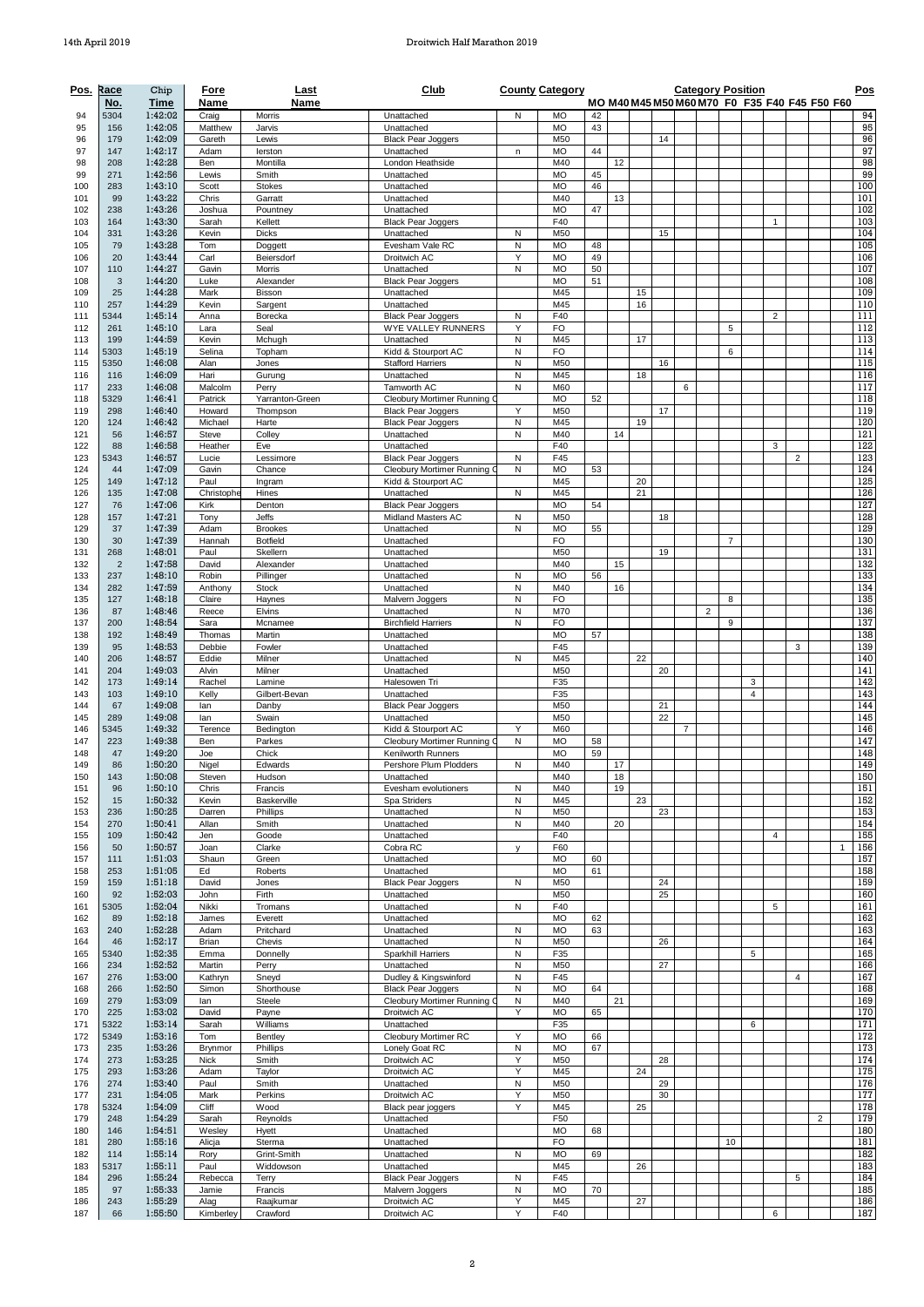| Pos.       | Race                  | Chip               | Fore                    | Last                    | Club                                              |                    | <b>County Category</b> |          |    |          |          |   |                |                | <b>Category Position</b> |                |                                               |                |              | Pos        |
|------------|-----------------------|--------------------|-------------------------|-------------------------|---------------------------------------------------|--------------------|------------------------|----------|----|----------|----------|---|----------------|----------------|--------------------------|----------------|-----------------------------------------------|----------------|--------------|------------|
| 94         | No.<br>5304           | Time<br>1:42:02    | Name<br>Craig           | Name<br>Morris          | Unattached                                        | N                  | <b>MO</b>              | 42       |    |          |          |   |                |                |                          |                | MO M40 M45 M50 M60 M70 F0 F35 F40 F45 F50 F60 |                |              | 94         |
| 95         | 156                   | 1:42:05            | Matthew                 | Jarvis                  | Unattached                                        |                    | <b>MO</b>              | 43       |    |          |          |   |                |                |                          |                |                                               |                |              | 95         |
| 96         | 179                   | 1:42:09            | Gareth                  | Lewis                   | <b>Black Pear Joggers</b>                         |                    | M50                    |          |    |          | 14       |   |                |                |                          |                |                                               |                |              | 96         |
| 97<br>98   | 147<br>208            | 1:42:17<br>1:42:28 | Adam<br>Ben             | lerston<br>Montilla     | Unattached<br>London Heathside                    | n                  | <b>MO</b><br>M40       | 44       | 12 |          |          |   |                |                |                          |                |                                               |                |              | 97<br>98   |
| 99         | 271                   | 1:42:56            | Lewis                   | Smith                   | Unattached                                        |                    | <b>MO</b>              | 45       |    |          |          |   |                |                |                          |                |                                               |                |              | 99         |
| 100        | 283                   | 1:43:10            | Scott                   | <b>Stokes</b>           | Unattached                                        |                    | <b>MO</b>              | 46       |    |          |          |   |                |                |                          |                |                                               |                |              | 100        |
| 101<br>102 | 99<br>238             | 1:43:22<br>1:43:26 | Chris<br>Joshua         | Garratt<br>Pountney     | Unattached<br>Unattached                          |                    | M40<br><b>MO</b>       | 47       | 13 |          |          |   |                |                |                          |                |                                               |                |              | 101<br>102 |
| 103        | 164                   | 1:43:30            | Sarah                   | Kellett                 | <b>Black Pear Joggers</b>                         |                    | F40                    |          |    |          |          |   |                |                |                          | 1              |                                               |                |              | 103        |
| 104        | 331                   | 1:43:26            | Kevin                   | <b>Dicks</b>            | Unattached                                        | N                  | M50                    |          |    |          | 15       |   |                |                |                          |                |                                               |                |              | 104        |
| 105<br>106 | 79<br>20              | 1:43:28<br>1:43:44 | Tom<br>Carl             | Doggett<br>Beiersdorf   | Evesham Vale RC<br>Droitwich AC                   | N<br>Y             | <b>MO</b><br><b>MO</b> | 48<br>49 |    |          |          |   |                |                |                          |                |                                               |                |              | 105<br>106 |
| 107        | 110                   | 1:44:27            | Gavin                   | Morris                  | Unattached                                        | N                  | <b>MO</b>              | 50       |    |          |          |   |                |                |                          |                |                                               |                |              | 107        |
| 108        | 3                     | 1:44:20<br>1:44:28 | Luke                    | Alexander<br>Bisson     | <b>Black Pear Joggers</b>                         |                    | <b>MO</b><br>M45       | 51       |    |          |          |   |                |                |                          |                |                                               |                |              | 108<br>109 |
| 109<br>110 | 25<br>257             | 1:44:29            | Mark<br>Kevin           | Sargent                 | Unattached<br>Unattached                          |                    | M45                    |          |    | 15<br>16 |          |   |                |                |                          |                |                                               |                |              | 110        |
| 111        | 5344                  | 1:45:14            | Anna                    | Borecka                 | <b>Black Pear Joggers</b>                         | N                  | F40                    |          |    |          |          |   |                |                |                          | 2              |                                               |                |              | 111        |
| 112<br>113 | 261<br>199            | 1:45:10<br>1:44:59 | Lara<br>Kevin           | Seal<br>Mchugh          | <b>WYE VALLEY RUNNERS</b><br>Unattached           | Y<br>N             | <b>FO</b><br>M45       |          |    | 17       |          |   |                | 5              |                          |                |                                               |                |              | 112<br>113 |
| 114        | 5303                  | 1:45:19            | Selina                  | Topham                  | Kidd & Stourport AC                               | N                  | <b>FO</b>              |          |    |          |          |   |                | 6              |                          |                |                                               |                |              | 114        |
| 115        | 5350                  | 1:46:08            | Alan                    | Jones                   | <b>Stafford Harriers</b>                          | N                  | M50                    |          |    |          | 16       |   |                |                |                          |                |                                               |                |              | 115        |
| 116<br>117 | 116<br>233            | 1:46:09<br>1:46:08 | Hari<br>Malcolm         | Gurung<br>Perry         | Unattached<br>Tamworth AC                         | N<br>N             | M45<br>M60             |          |    | 18       |          | 6 |                |                |                          |                |                                               |                |              | 116<br>117 |
| 118        | 5329                  | 1:46:41            | Patrick                 | Yarranton-Green         | Cleobury Mortimer Running (                       |                    | <b>MO</b>              | 52       |    |          |          |   |                |                |                          |                |                                               |                |              | 118        |
| 119        | 298                   | 1:46:40            | Howard                  | Thompson                | <b>Black Pear Joggers</b>                         | Y                  | M50                    |          |    |          | 17       |   |                |                |                          |                |                                               |                |              | 119        |
| 120<br>121 | 124<br>56             | 1:46:42<br>1:46:57 | Michael<br><b>Steve</b> | Harte<br>Colley         | <b>Black Pear Joggers</b><br>Unattached           | $\sf N$<br>$\sf N$ | M45<br>M40             |          | 14 | 19       |          |   |                |                |                          |                |                                               |                |              | 120<br>121 |
| 122        | 88                    | 1:46:58            | Heather                 | Eve                     | Unattached                                        |                    | F40                    |          |    |          |          |   |                |                |                          | 3              |                                               |                |              | 122        |
| 123        | 5343                  | 1:46:57            | Lucie                   | Lessimore               | <b>Black Pear Joggers</b>                         | N                  | F45                    |          |    |          |          |   |                |                |                          |                | $\overline{2}$                                |                |              | 123        |
| 124<br>125 | 44<br>149             | 1:47:09<br>1:47:12 | Gavin<br>Paul           | Chance<br>Ingram        | Cleobury Mortimer Running<br>Kidd & Stourport AC  | N                  | <b>MO</b><br>M45       | 53       |    | 20       |          |   |                |                |                          |                |                                               |                |              | 124<br>125 |
| 126        | 135                   | 1:47:08            | Christophe              | Hines                   | Unattached                                        | N                  | M45                    |          |    | 21       |          |   |                |                |                          |                |                                               |                |              | 126        |
| 127        | 76                    | 1:47:06            | Kirk                    | Denton                  | <b>Black Pear Joggers</b>                         |                    | <b>MO</b>              | 54       |    |          |          |   |                |                |                          |                |                                               |                |              | 127        |
| 128<br>129 | 157<br>37             | 1:47:21<br>1:47:39 | Tony<br>Adam            | Jeffs<br><b>Brookes</b> | Midland Masters AC<br>Unattached                  | N<br>N             | M50<br><b>MO</b>       | 55       |    |          | 18       |   |                |                |                          |                |                                               |                |              | 128<br>129 |
| 130        | 30                    | 1:47:39            | Hannah                  | <b>Botfield</b>         | Unattached                                        |                    | <b>FO</b>              |          |    |          |          |   |                | $\overline{7}$ |                          |                |                                               |                |              | 130        |
| 131        | 268                   | 1:48:01            | Paul                    | Skellern                | Unattached                                        |                    | M50                    |          |    |          | 19       |   |                |                |                          |                |                                               |                |              | 131        |
| 132<br>133 | $\overline{2}$<br>237 | 1:47:58<br>1:48:10 | David<br>Robin          | Alexander<br>Pillinger  | Unattached<br>Unattached                          | N                  | M40<br><b>MO</b>       | 56       | 15 |          |          |   |                |                |                          |                |                                               |                |              | 132<br>133 |
| 134        | 282                   | 1:47:59            | Anthony                 | <b>Stock</b>            | Unattached                                        | $\sf N$            | M40                    |          | 16 |          |          |   |                |                |                          |                |                                               |                |              | 134        |
| 135        | 127                   | 1:48:18            | Claire                  | Haynes                  | Malvern Joggers                                   | $\sf N$            | <b>FO</b>              |          |    |          |          |   |                | 8              |                          |                |                                               |                |              | 135        |
| 136<br>137 | 87<br>200             | 1:48:46<br>1:48:54 | Reece<br>Sara           | Elvins<br>Mcnamee       | Unattached<br><b>Birchfield Harriers</b>          | N<br>N             | M70<br><b>FO</b>       |          |    |          |          |   | $\overline{c}$ | 9              |                          |                |                                               |                |              | 136<br>137 |
| 138        | 192                   | 1:48:49            | Thomas                  | Martin                  | Unattached                                        |                    | <b>MO</b>              | 57       |    |          |          |   |                |                |                          |                |                                               |                |              | 138        |
| 139        | 95                    | 1:48:53            | Debbie                  | Fowler                  | Unattached                                        |                    | F45                    |          |    |          |          |   |                |                |                          |                | 3                                             |                |              | 139        |
| 140<br>141 | 206<br>204            | 1:48:57<br>1:49:03 | Eddie<br>Alvin          | Milner<br>Milner        | Unattached<br>Unattached                          | N                  | M45<br>M50             |          |    | 22       | 20       |   |                |                |                          |                |                                               |                |              | 140<br>141 |
| 142        | 173                   | 1:49:14            | Rachel                  | Lamine                  | Halesowen Tri                                     |                    | F35                    |          |    |          |          |   |                |                | 3                        |                |                                               |                |              | 142        |
| 143        | 103                   | 1:49:10            | Kelly                   | Gilbert-Bevan           | Unattached                                        |                    | F35                    |          |    |          |          |   |                |                | $\overline{4}$           |                |                                               |                |              | 143        |
| 144<br>145 | 67<br>289             | 1:49:08<br>1:49:08 | lan<br>lan              | Danby<br>Swain          | <b>Black Pear Joggers</b><br>Unattached           |                    | M50<br>M50             |          |    |          | 21<br>22 |   |                |                |                          |                |                                               |                |              | 144<br>145 |
| 146        | 5345                  | 1:49:32            | Terence                 | Bedington               | Kidd & Stourport AC                               | Y                  | M60                    |          |    |          |          | 7 |                |                |                          |                |                                               |                |              | 146        |
| 147<br>148 | 223<br>47             | 1:49:38<br>1:49:20 | Ben<br>Joe              | Parkes<br>Chick         | Cleobury Mortimer Running (<br>Kenilworth Runners | N                  | <b>MO</b><br><b>MO</b> | 58<br>59 |    |          |          |   |                |                |                          |                |                                               |                |              | 147<br>148 |
| 149        | 86                    | 1:50:20            | Nigel                   | Edwards                 | Pershore Plum Plodders                            | N                  | M40                    |          | 17 |          |          |   |                |                |                          |                |                                               |                |              | 149        |
| 150        | 143                   | 1:50:08            | Steven                  | Hudson                  | Unattached                                        |                    | M40                    |          | 18 |          |          |   |                |                |                          |                |                                               |                |              | 150        |
| 151<br>152 | 96<br>15              | 1:50:10<br>1:50:32 | Chris<br>Kevin          | Francis<br>Baskerville  | Evesham evolutioners<br>Spa Striders              | N<br>N             | M40<br>M45             |          | 19 | 23       |          |   |                |                |                          |                |                                               |                |              | 151<br>152 |
| 153        | 236                   | 1:50:25            | Darren                  | Phillips                | Unattached                                        | $\sf N$            | M50                    |          |    |          | 23       |   |                |                |                          |                |                                               |                |              | 153        |
| 154        | 270                   | 1:50:41            | Allan                   | Smith                   | Unattached                                        | N                  | M40                    |          | 20 |          |          |   |                |                |                          |                |                                               |                |              | 154        |
| 155<br>156 | 109<br>50             | 1:50:42<br>1:50:57 | Jen<br>Joan             | Goode<br>Clarke         | Unattached<br>Cobra RC                            | $\mathsf{v}$       | F40<br>F60             |          |    |          |          |   |                |                |                          | $\overline{4}$ |                                               |                | $\mathbf{1}$ | 155<br>156 |
| 157        | 111                   | 1:51:03            | Shaun                   | Green                   | Unattached                                        |                    | <b>MO</b>              | 60       |    |          |          |   |                |                |                          |                |                                               |                |              | 157        |
| 158        | 253                   | 1:51:05            | Ed                      | Roberts                 | Unattached                                        |                    | <b>MO</b>              | 61       |    |          |          |   |                |                |                          |                |                                               |                |              | 158        |
| 159<br>160 | 159<br>92             | 1:51:18<br>1:52:03 | David<br>John           | Jones<br>Firth          | <b>Black Pear Joggers</b><br>Unattached           | N                  | M50<br>M50             |          |    |          | 24<br>25 |   |                |                |                          |                |                                               |                |              | 159<br>160 |
| 161        | 5305                  | 1:52:04            | Nikki                   | Tromans                 | Unattached                                        | N                  | F40                    |          |    |          |          |   |                |                |                          | 5              |                                               |                |              | 161        |
| 162<br>163 | 89<br>240             | 1:52:18<br>1:52:28 | James<br>Adam           | Everett<br>Pritchard    | Unattached<br>Unattached                          | N                  | <b>MO</b><br><b>MO</b> | 62<br>63 |    |          |          |   |                |                |                          |                |                                               |                |              | 162<br>163 |
| 164        | 46                    | 1:52:17            | Brian                   | Chevis                  | Unattached                                        | $\sf N$            | M50                    |          |    |          | 26       |   |                |                |                          |                |                                               |                |              | 164        |
| 165        | 5340                  | 1:52:35            | Emma                    | Donnelly                | Sparkhill Harriers                                | ${\sf N}$          | F35                    |          |    |          |          |   |                |                | 5                        |                |                                               |                |              | 165        |
| 166<br>167 | 234<br>276            | 1:52:52<br>1:53:00 | Martin<br>Kathryn       | Perry<br>Sneyd          | Unattached<br>Dudley & Kingswinford               | N<br>N             | M50<br>F45             |          |    |          | 27       |   |                |                |                          |                | 4                                             |                |              | 166<br>167 |
| 168        | 266                   | 1:52:50            | Simon                   | Shorthouse              | <b>Black Pear Joggers</b>                         | N                  | <b>MO</b>              | 64       |    |          |          |   |                |                |                          |                |                                               |                |              | 168        |
| 169        | 279                   | 1:53:09            | lan                     | <b>Steele</b>           | Cleobury Mortimer Running (                       | N                  | M40                    |          | 21 |          |          |   |                |                |                          |                |                                               |                |              | 169        |
| 170<br>171 | 225<br>5322           | 1:53:02<br>1:53:14 | David<br>Sarah          | Payne<br>Williams       | Droitwich AC<br>Unattached                        | Υ                  | <b>MO</b><br>F35       | 65       |    |          |          |   |                |                | 6                        |                |                                               |                |              | 170<br>171 |
| 172        | 5349                  | 1:53:16            | Tom                     | Bentley                 | Cleobury Mortimer RC                              | Υ                  | <b>MO</b>              | 66       |    |          |          |   |                |                |                          |                |                                               |                |              | 172        |
| 173        | 235                   | 1:53:26            | Brynmor                 | Phillips                | Lonely Goat RC                                    | ${\sf N}$          | <b>MO</b>              | 67       |    |          |          |   |                |                |                          |                |                                               |                |              | 173        |
| 174<br>175 | 273<br>293            | 1:53:25<br>1:53:26 | Nick<br>Adam            | Smith<br>Taylor         | Droitwich AC<br>Droitwich AC                      | Υ<br>Υ             | M50<br>M45             |          |    | 24       | 28       |   |                |                |                          |                |                                               |                |              | 174<br>175 |
| 176        | 274                   | 1:53:40            | Paul                    | Smith                   | Unattached                                        | N                  | M50                    |          |    |          | 29       |   |                |                |                          |                |                                               |                |              | 176        |
| 177        | 231                   | 1:54:05            | Mark                    | Perkins                 | Droitwich AC                                      | Υ                  | M50                    |          |    |          | 30       |   |                |                |                          |                |                                               |                |              | 177        |
| 178<br>179 | 5324<br>248           | 1:54:09<br>1:54:29 | Cliff<br>Sarah          | Wood<br>Reynolds        | Black pear joggers<br>Unattached                  | Υ                  | M45<br>F50             |          |    | 25       |          |   |                |                |                          |                |                                               | $\overline{c}$ |              | 178<br>179 |
| 180        | 146                   | 1:54:51            | Wesley                  | Hyett                   | Unattached                                        |                    | <b>MO</b>              | 68       |    |          |          |   |                |                |                          |                |                                               |                |              | 180        |
| 181<br>182 | 280<br>114            | 1:55:16<br>1:55:14 | Alicja                  | Sterma<br>Grint-Smith   | Unattached<br>Unattached                          | N                  | <b>FO</b><br><b>MO</b> | 69       |    |          |          |   |                | 10             |                          |                |                                               |                |              | 181<br>182 |
| 183        | 5317                  | 1:55:11            | Rory<br>Paul            | Widdowson               | Unattached                                        |                    | M45                    |          |    | 26       |          |   |                |                |                          |                |                                               |                |              | 183        |
| 184        | 296                   | 1:55:24            | Rebecca                 | Terry                   | <b>Black Pear Joggers</b>                         | N                  | F45                    |          |    |          |          |   |                |                |                          |                | 5                                             |                |              | 184        |
| 185<br>186 | 97<br>243             | 1:55:33<br>1:55:29 | Jamie<br>Alag           | Francis<br>Raajkumar    | Malvern Joggers<br>Droitwich AC                   | N<br>Υ             | MO<br>M45              | 70       |    | 27       |          |   |                |                |                          |                |                                               |                |              | 185<br>186 |
| 187        | 66                    | 1:55:50            | Kimberley               | Crawford                | Droitwich AC                                      | Y                  | F40                    |          |    |          |          |   |                |                |                          | 6              |                                               |                |              | 187        |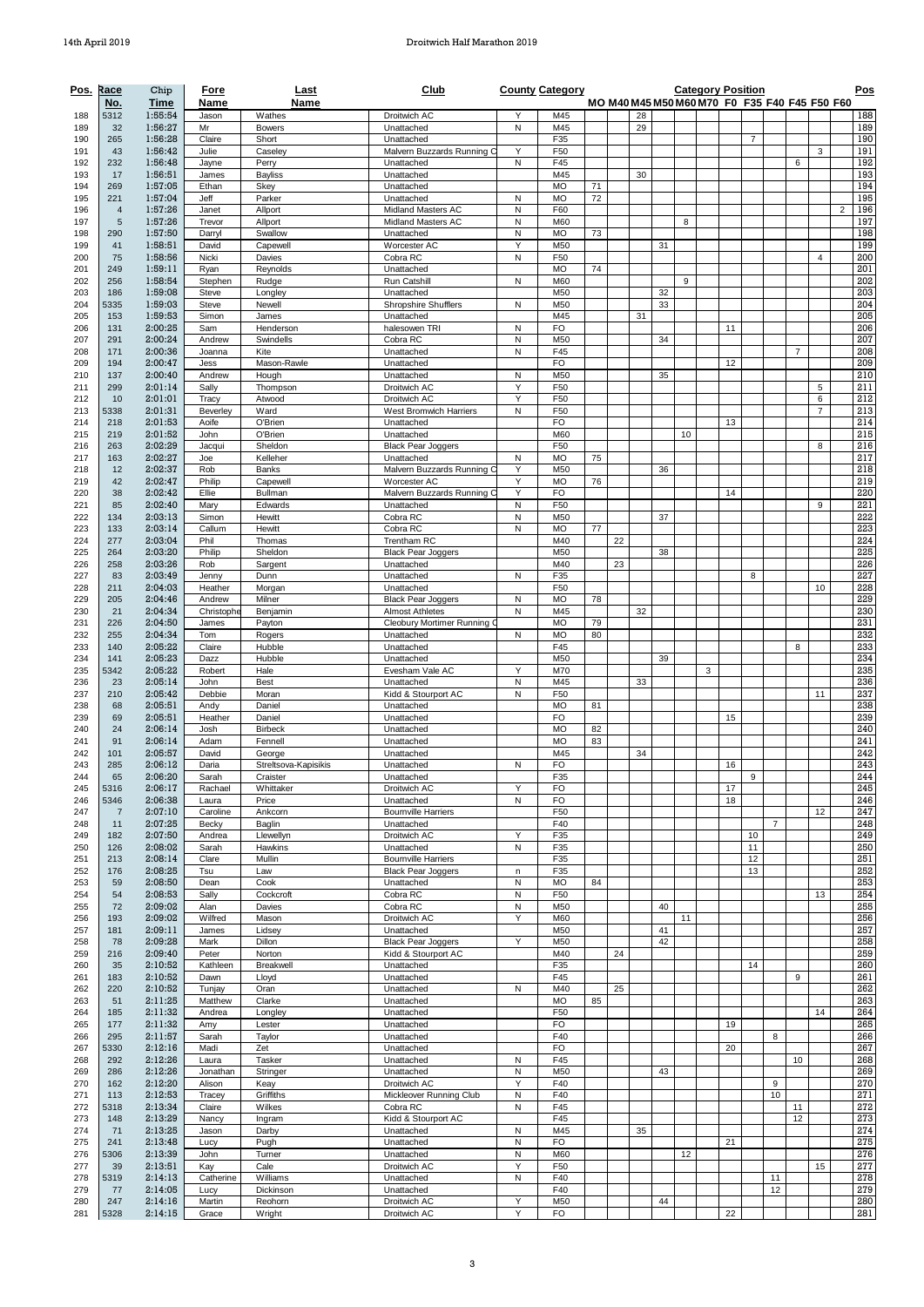| Pos.       | Race                  | Chip               | Fore                | Last                             | Club                                                    |        | <b>County Category</b> |    |    |    |    |    |   |    | <b>Category Position</b>                      |                |                |                     |                | Pos        |
|------------|-----------------------|--------------------|---------------------|----------------------------------|---------------------------------------------------------|--------|------------------------|----|----|----|----|----|---|----|-----------------------------------------------|----------------|----------------|---------------------|----------------|------------|
| 188        | No.<br>5312           | Time<br>1:55:54    | Name<br>Jason       | Name<br>Wathes                   | Droitwich AC                                            | Y      | M45                    |    |    | 28 |    |    |   |    | MO M40 M45 M50 M60 M70 F0 F35 F40 F45 F50 F60 |                |                |                     |                | 188        |
| 189        | 32                    | 1:56:27            | Mr                  | <b>Bowers</b>                    | Unattached                                              | N      | M45                    |    |    | 29 |    |    |   |    |                                               |                |                |                     |                | 189        |
| 190        | 265                   | 1:56:28            | Claire              | Short                            | Unattached                                              |        | F35                    |    |    |    |    |    |   |    | $\overline{7}$                                |                |                |                     |                | 190        |
| 191<br>192 | 43<br>232             | 1:56:42<br>1:56:48 | Julie<br>Jayne      | Caseley<br>Perry                 | Malvern Buzzards Running C<br>Unattached                | Y<br>N | F50<br>F45             |    |    |    |    |    |   |    |                                               |                | 6              | 3                   |                | 191<br>192 |
| 193        | 17                    | 1:56:51            | James               | <b>Bayliss</b>                   | Unattached                                              |        | M45                    |    |    | 30 |    |    |   |    |                                               |                |                |                     |                | 193        |
| 194        | 269                   | 1:57:05            | Ethan               | Skey                             | Unattached                                              |        | <b>MO</b>              | 71 |    |    |    |    |   |    |                                               |                |                |                     |                | 194        |
| 195<br>196 | 221<br>$\overline{4}$ | 1:57:04<br>1:57:26 | Jeff<br>Janet       | Parker<br>Allport                | Unattached<br>Midland Masters AC                        | N<br>N | <b>MO</b><br>F60       | 72 |    |    |    |    |   |    |                                               |                |                |                     | $\overline{2}$ | 195<br>196 |
| 197        | 5                     | 1:57:26            | Trevor              | Allport                          | Midland Masters AC                                      | N      | M60                    |    |    |    |    | 8  |   |    |                                               |                |                |                     |                | 197        |
| 198        | 290                   | 1:57:50            | Darry               | Swallow                          | Unattached                                              | N      | <b>MO</b>              | 73 |    |    |    |    |   |    |                                               |                |                |                     |                | 198        |
| 199        | 41<br>75              | 1:58:51<br>1:58:56 | David<br>Nicki      | Capewell<br>Davies               | Worcester AC<br>Cobra RC                                | Υ<br>N | M50<br>F50             |    |    |    | 31 |    |   |    |                                               |                |                | $\overline{4}$      |                | 199<br>200 |
| 200<br>201 | 249                   | 1:59:11            | Ryan                | Reynolds                         | Unattached                                              |        | <b>MO</b>              | 74 |    |    |    |    |   |    |                                               |                |                |                     |                | 201        |
| 202        | 256                   | 1:58:54            | Stephen             | Rudge                            | <b>Run Catshill</b>                                     | N      | M60                    |    |    |    |    | 9  |   |    |                                               |                |                |                     |                | 202        |
| 203        | 186                   | 1:59:08            | Steve               | Longley                          | Unattached                                              |        | M50                    |    |    |    | 32 |    |   |    |                                               |                |                |                     |                | 203        |
| 204<br>205 | 5335<br>153           | 1:59:03<br>1:59:53 | Steve<br>Simon      | Newell<br>James                  | <b>Shropshire Shufflers</b><br>Unattached               | N      | M50<br>M45             |    |    | 31 | 33 |    |   |    |                                               |                |                |                     |                | 204<br>205 |
| 206        | 131                   | 2:00:25            | Sam                 | Henderson                        | halesowen TRI                                           | N      | <b>FO</b>              |    |    |    |    |    |   | 11 |                                               |                |                |                     |                | 206        |
| 207        | 291                   | 2:00:24            | Andrew              | Swindells                        | Cobra RC                                                | N      | M50                    |    |    |    | 34 |    |   |    |                                               |                |                |                     |                | 207        |
| 208<br>209 | 171<br>194            | 2:00:36<br>2:00:47 | Joanna<br>Jess      | Kite<br>Mason-Rawle              | Unattached<br>Unattached                                | N      | F45<br><b>FO</b>       |    |    |    |    |    |   | 12 |                                               |                | $\overline{7}$ |                     |                | 208<br>209 |
| 210        | 137                   | 2:00:40            | Andrew              | Hough                            | Unattached                                              | N      | M50                    |    |    |    | 35 |    |   |    |                                               |                |                |                     |                | 210        |
| 211        | 299                   | 2:01:14            | Sally               | Thompson                         | Droitwich AC                                            | Y      | F50                    |    |    |    |    |    |   |    |                                               |                |                | 5                   |                | 211        |
| 212<br>213 | 10<br>5338            | 2:01:01<br>2:01:31 | Tracy<br>Beverley   | Atwood<br>Ward                   | Droitwich AC<br>West Bromwich Harriers                  | Υ<br>N | F50<br>F50             |    |    |    |    |    |   |    |                                               |                |                | 6<br>$\overline{7}$ |                | 212<br>213 |
| 214        | 218                   | 2:01:53            | Aoife               | O'Brien                          | Unattached                                              |        | <b>FO</b>              |    |    |    |    |    |   | 13 |                                               |                |                |                     |                | 214        |
| 215        | 219                   | 2:01:52            | John                | O'Brien                          | Unattached                                              |        | M60                    |    |    |    |    | 10 |   |    |                                               |                |                |                     |                | 215        |
| 216        | 263                   | 2:02:29<br>2:02:27 | Jacqui              | Sheldon<br>Kelleher              | <b>Black Pear Joggers</b><br>Unattached                 |        | F50<br>MO              | 75 |    |    |    |    |   |    |                                               |                |                | 8                   |                | 216<br>217 |
| 217<br>218 | 163<br>12             | 2:02:37            | Joe<br>Rob          | Banks                            | Malvern Buzzards Running C                              | Ν<br>Y | M50                    |    |    |    | 36 |    |   |    |                                               |                |                |                     |                | 218        |
| 219        | 42                    | 2:02:47            | Philip              | Capewell                         | Worcester AC                                            | Υ      | <b>MO</b>              | 76 |    |    |    |    |   |    |                                               |                |                |                     |                | 219        |
| 220        | 38                    | 2:02:42            | Ellie               | Bullman                          | Malvern Buzzards Running C                              | Y      | <b>FO</b>              |    |    |    |    |    |   | 14 |                                               |                |                |                     |                | 220        |
| 221<br>222 | 85<br>134             | 2:02:40<br>2:03:13 | Mary<br>Simon       | Edwards<br>Hewitt                | Unattached<br>Cobra RC                                  | N<br>N | F50<br>M50             |    |    |    | 37 |    |   |    |                                               |                |                | 9                   |                | 221<br>222 |
| 223        | 133                   | 2:03:14            | Callum              | Hewitt                           | Cobra RC                                                | Ν      | <b>MO</b>              | 77 |    |    |    |    |   |    |                                               |                |                |                     |                | 223        |
| 224        | 277                   | 2:03:04            | Phil                | Thomas                           | Trentham RC                                             |        | M40                    |    | 22 |    |    |    |   |    |                                               |                |                |                     |                | 224        |
| 225        | 264                   | 2:03:20<br>2:03:26 | Philip              | Sheldon                          | <b>Black Pear Joggers</b>                               |        | M50<br>M40             |    | 23 |    | 38 |    |   |    |                                               |                |                |                     |                | 225        |
| 226<br>227 | 258<br>83             | 2:03:49            | Rob<br>Jenny        | Sargent<br>Dunn                  | Unattached<br>Unattached                                | Ν      | F35                    |    |    |    |    |    |   |    | 8                                             |                |                |                     |                | 226<br>227 |
| 228        | 211                   | 2:04:03            | Heather             | Morgan                           | Unattached                                              |        | F50                    |    |    |    |    |    |   |    |                                               |                |                | 10                  |                | 228        |
| 229        | 205                   | 2:04:46            | Andrew              | Milner                           | <b>Black Pear Joggers</b>                               | N      | <b>MO</b>              | 78 |    |    |    |    |   |    |                                               |                |                |                     |                | 229        |
| 230<br>231 | 21<br>226             | 2:04:34<br>2:04:50 | Christophe<br>James | Benjamin<br>Payton               | <b>Almost Athletes</b><br>Cleobury Mortimer Running     | N      | M45<br><b>MO</b>       | 79 |    | 32 |    |    |   |    |                                               |                |                |                     |                | 230<br>231 |
| 232        | 255                   | 2:04:34            | Tom                 | Rogers                           | Unattached                                              | N      | <b>MO</b>              | 80 |    |    |    |    |   |    |                                               |                |                |                     |                | 232        |
| 233        | 140                   | 2:05:22            | Claire              | Hubble                           | Unattached                                              |        | F45                    |    |    |    |    |    |   |    |                                               |                | 8              |                     |                | 233        |
| 234<br>235 | 141<br>5342           | 2:05:23<br>2:05:22 | Dazz<br>Robert      | Hubble<br>Hale                   | Unattached<br>Evesham Vale AC                           | Y      | M50<br>M70             |    |    |    | 39 |    | 3 |    |                                               |                |                |                     |                | 234<br>235 |
| 236        | 23                    | 2:05:14            | John                | <b>Best</b>                      | Unattached                                              | N      | M45                    |    |    | 33 |    |    |   |    |                                               |                |                |                     |                | 236        |
| 237        | 210                   | 2:05:42            | Debbie              | Moran                            | Kidd & Stourport AC                                     | N      | F50                    |    |    |    |    |    |   |    |                                               |                |                | 11                  |                | 237        |
| 238        | 68                    | 2:05:51            | Andy                | Daniel                           | Unattached                                              |        | <b>MO</b>              | 81 |    |    |    |    |   |    |                                               |                |                |                     |                | 238        |
| 239<br>240 | 69<br>24              | 2:05:51<br>2:06:14 | Heather<br>Josh     | Daniel<br>Birbeck                | Unattached<br>Unattached                                |        | <b>FO</b><br><b>MO</b> | 82 |    |    |    |    |   | 15 |                                               |                |                |                     |                | 239<br>240 |
| 241        | 91                    | 2:06:14            | Adam                | Fennell                          | Unattached                                              |        | <b>MO</b>              | 83 |    |    |    |    |   |    |                                               |                |                |                     |                | 241        |
| 242        | 101                   | 2:05:57            | David               | George                           | Unattached                                              |        | M45                    |    |    | 34 |    |    |   |    |                                               |                |                |                     |                | 242        |
| 243<br>244 | 285<br>65             | 2:06:12<br>2:06:20 | Daria<br>Sarah      | Streltsova-Kapisikis<br>Craister | Unattached<br>Unattached                                | N      | <b>FO</b><br>F35       |    |    |    |    |    |   | 16 | 9                                             |                |                |                     |                | 243<br>244 |
| 245        | 5316                  | 2:06:17            | Rachael             | Whittaker                        | Droitwich AC                                            | Y      | <b>FO</b>              |    |    |    |    |    |   | 17 |                                               |                |                |                     |                | 245        |
| 246        | 5346                  | 2:06:38            | Laura               | Price                            | Unattached                                              | N      | FO                     |    |    |    |    |    |   | 18 |                                               |                |                |                     |                | 246        |
| 247<br>248 | $\overline{7}$<br>11  | 2:07:10<br>2:07:25 | Caroline<br>Becky   | Ankcorn<br>Baglin                | <b>Bournville Harriers</b><br>Unattached                |        | F50<br>F40             |    |    |    |    |    |   |    |                                               | $\overline{7}$ |                | 12                  |                | 247<br>248 |
| 249        | 182                   | 2:07:50            | Andrea              | Llewellyn                        | Droitwich AC                                            | Y      | F35                    |    |    |    |    |    |   |    | 10                                            |                |                |                     |                | 249        |
| 250        | 126                   | 2:08:02            | Sarah               | Hawkins                          | Unattached                                              | N      | F35                    |    |    |    |    |    |   |    | 11                                            |                |                |                     |                | 250        |
| 251<br>252 | 213<br>176            | 2:08:14<br>2:08:25 | Clare<br>Tsu        | Mullin<br>Law                    | <b>Bournville Harriers</b><br><b>Black Pear Joggers</b> | n      | F35<br>F35             |    |    |    |    |    |   |    | 12<br>13                                      |                |                |                     |                | 251<br>252 |
| 253        | 59                    | 2:08:50            | Dean                | Cook                             | Unattached                                              | N      | <b>MO</b>              | 84 |    |    |    |    |   |    |                                               |                |                |                     |                | 253        |
| 254        | 54                    | 2:08:53            | Sally               | Cockcroft                        | Cobra RC                                                | N      | F50                    |    |    |    |    |    |   |    |                                               |                |                | 13                  |                | 254        |
| 255<br>256 | 72<br>193             | 2:09:02<br>2:09:02 | Alan<br>Wilfred     | Davies<br>Mason                  | Cobra RC<br>Droitwich AC                                | N<br>Υ | M50<br>M60             |    |    |    | 40 | 11 |   |    |                                               |                |                |                     |                | 255<br>256 |
| 257        | 181                   | 2:09:11            | James               | Lidsey                           | Unattached                                              |        | M50                    |    |    |    | 41 |    |   |    |                                               |                |                |                     |                | 257        |
| 258        | 78                    | 2:09:28            | Mark                | Dillon                           | <b>Black Pear Joggers</b>                               | Y      | M50                    |    |    |    | 42 |    |   |    |                                               |                |                |                     |                | 258        |
| 259        | 216                   | 2:09:40<br>2:10:52 | Peter<br>Kathleen   | Norton<br>Breakwell              | Kidd & Stourport AC<br>Unattached                       |        | M40<br>F35             |    | 24 |    |    |    |   |    | 14                                            |                |                |                     |                | 259<br>260 |
| 260<br>261 | 35<br>183             | 2:10:52            | Dawn                | Lloyd                            | Unattached                                              |        | F45                    |    |    |    |    |    |   |    |                                               |                | 9              |                     |                | 261        |
| 262        | 220                   | 2:10:52            | Tunjay              | Oran                             | Unattached                                              | N      | M40                    |    | 25 |    |    |    |   |    |                                               |                |                |                     |                | 262        |
| 263        | 51                    | 2:11:25            | Matthew             | Clarke                           | Unattached                                              |        | MO                     | 85 |    |    |    |    |   |    |                                               |                |                |                     |                | 263        |
| 264<br>265 | 185<br>177            | 2:11:32<br>2:11:32 | Andrea<br>Amy       | Longley<br>Lester                | Unattached<br>Unattached                                |        | F50<br><b>FO</b>       |    |    |    |    |    |   | 19 |                                               |                |                | 14                  |                | 264<br>265 |
| 266        | 295                   | 2:11:57            | Sarah               | Taylor                           | Unattached                                              |        | F40                    |    |    |    |    |    |   |    |                                               | 8              |                |                     |                | 266        |
| 267        | 5330                  | 2:12:16            | Madi                | Zet                              | Unattached                                              |        | <b>FO</b>              |    |    |    |    |    |   | 20 |                                               |                |                |                     |                | 267        |
| 268<br>269 | 292<br>286            | 2:12:26<br>2:12:26 | Laura               | Tasker<br>Stringer               | Unattached<br>Unattached                                | N<br>N | F45<br>M50             |    |    |    | 43 |    |   |    |                                               |                | 10             |                     |                | 268<br>269 |
| 270        | 162                   | 2:12:20            | Jonathan<br>Alison  | Keay                             | Droitwich AC                                            | Y      | F40                    |    |    |    |    |    |   |    |                                               | 9              |                |                     |                | 270        |
| 271        | 113                   | 2:12:53            | Tracey              | Griffiths                        | Mickleover Running Club                                 | N      | F40                    |    |    |    |    |    |   |    |                                               | 10             |                |                     |                | 271        |
| 272<br>273 | 5318                  | 2:13:34<br>2:13:29 | Claire<br>Nancy     | Wilkes<br>Ingram                 | Cobra RC<br>Kidd & Stourport AC                         | N      | F45<br>F45             |    |    |    |    |    |   |    |                                               |                | 11<br>12       |                     |                | 272<br>273 |
| 274        | 148<br>71             | 2:13:25            | Jason               | Darby                            | Unattached                                              | N      | M45                    |    |    | 35 |    |    |   |    |                                               |                |                |                     |                | 274        |
| 275        | 241                   | 2:13:48            | Lucy                | Pugh                             | Unattached                                              | N      | <b>FO</b>              |    |    |    |    |    |   | 21 |                                               |                |                |                     |                | 275        |
| 276        | 5306                  | 2:13:39            | John                | Turner                           | Unattached                                              | N      | M60                    |    |    |    |    | 12 |   |    |                                               |                |                |                     |                | 276        |
| 277<br>278 | 39<br>5319            | 2:13:51<br>2:14:13 | Kay<br>Catherine    | Cale<br>Williams                 | Droitwich AC<br>Unattached                              | Y<br>N | F50<br>F40             |    |    |    |    |    |   |    |                                               | 11             |                | 15                  |                | 277<br>278 |
| 279        | 77                    | 2:14:05            | Lucy                | Dickinson                        | Unattached                                              |        | F40                    |    |    |    |    |    |   |    |                                               | 12             |                |                     |                | 279        |
| 280        | 247                   | 2:14:16            | Martin              | Reohorn                          | Droitwich AC                                            | Υ      | M50                    |    |    |    | 44 |    |   |    |                                               |                |                |                     |                | 280        |
| 281        | 5328                  | 2:14:15            | Grace               | Wright                           | Droitwich AC                                            | Y      | FO                     |    |    |    |    |    |   | 22 |                                               |                |                |                     |                | 281        |